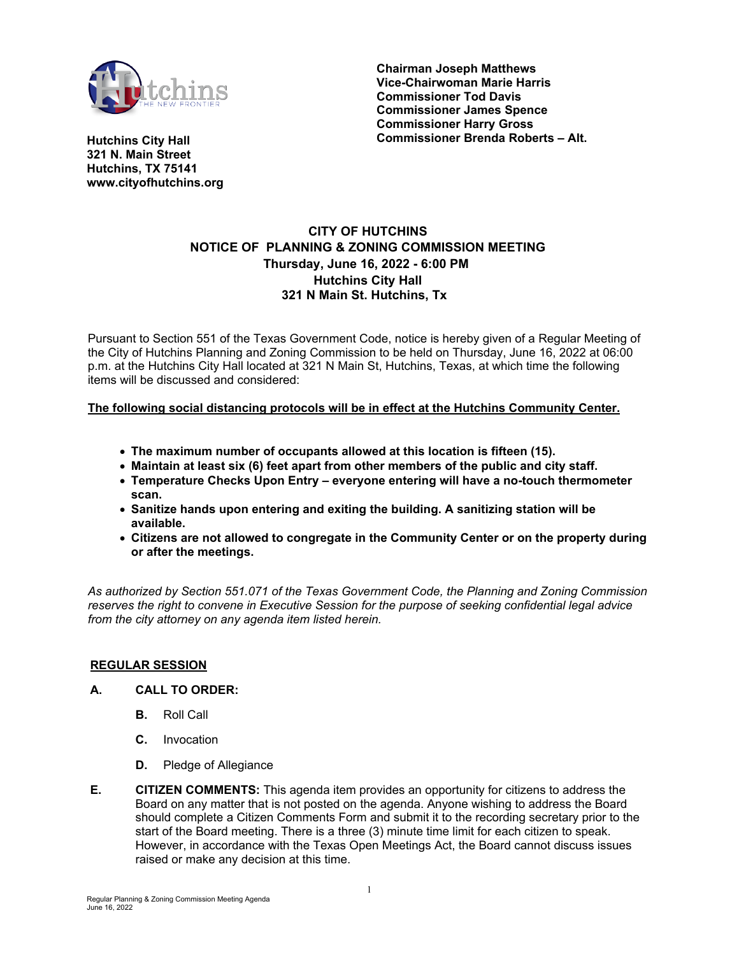

**Chairman Joseph Matthews Vice-Chairwoman Marie Harris Commissioner Tod Davis Commissioner James Spence Commissioner Harry Gross Commissioner Brenda Roberts – Alt.** 

**Hutchins City Hall 321 N. Main Street Hutchins, TX 75141 www.cityofhutchins.org**

# **CITY OF HUTCHINS NOTICE OF PLANNING & ZONING COMMISSION MEETING Thursday, June 16, 2022 - 6:00 PM Hutchins City Hall 321 N Main St. Hutchins, Tx**

Pursuant to Section 551 of the Texas Government Code, notice is hereby given of a Regular Meeting of the City of Hutchins Planning and Zoning Commission to be held on Thursday, June 16, 2022 at 06:00 p.m. at the Hutchins City Hall located at 321 N Main St, Hutchins, Texas, at which time the following items will be discussed and considered:

## **The following social distancing protocols will be in effect at the Hutchins Community Center.**

- **The maximum number of occupants allowed at this location is fifteen (15).**
- **Maintain at least six (6) feet apart from other members of the public and city staff.**
- **Temperature Checks Upon Entry everyone entering will have a no-touch thermometer scan.**
- **Sanitize hands upon entering and exiting the building. A sanitizing station will be available.**
- **Citizens are not allowed to congregate in the Community Center or on the property during or after the meetings.**

*As authorized by Section 551.071 of the Texas Government Code, the Planning and Zoning Commission reserves the right to convene in Executive Session for the purpose of seeking confidential legal advice from the city attorney on any agenda item listed herein.*

#### **REGULAR SESSION**

#### **A. CALL TO ORDER:**

- **B.** Roll Call
- **C.** Invocation
- **D.** Pledge of Allegiance
- **E. CITIZEN COMMENTS:** This agenda item provides an opportunity for citizens to address the Board on any matter that is not posted on the agenda. Anyone wishing to address the Board should complete a Citizen Comments Form and submit it to the recording secretary prior to the start of the Board meeting. There is a three (3) minute time limit for each citizen to speak. However, in accordance with the Texas Open Meetings Act, the Board cannot discuss issues raised or make any decision at this time.